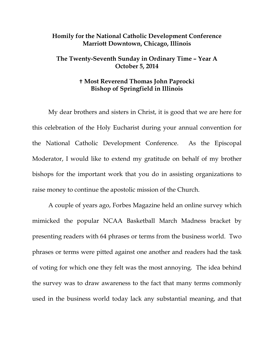## **Homily for the National Catholic Development Conference Marriott Downtown, Chicago, Illinois**

## **The Twenty-Seventh Sunday in Ordinary Time – Year A October 5, 2014**

## **Most Reverend Thomas John Paprocki Bishop of Springfield in Illinois**

 My dear brothers and sisters in Christ, it is good that we are here for this celebration of the Holy Eucharist during your annual convention for the National Catholic Development Conference. As the Episcopal Moderator, I would like to extend my gratitude on behalf of my brother bishops for the important work that you do in assisting organizations to raise money to continue the apostolic mission of the Church.

 A couple of years ago, Forbes Magazine held an online survey which mimicked the popular NCAA Basketball March Madness bracket by presenting readers with 64 phrases or terms from the business world. Two phrases or terms were pitted against one another and readers had the task of voting for which one they felt was the most annoying. The idea behind the survey was to draw awareness to the fact that many terms commonly used in the business world today lack any substantial meaning, and that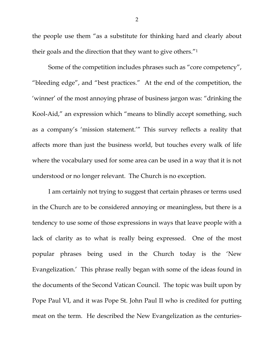the people use them "as a substitute for thinking hard and clearly about their goals and the direction that they want to give others."1

 Some of the competition includes phrases such as "core competency", "bleeding edge", and "best practices." At the end of the competition, the 'winner' of the most annoying phrase of business jargon was: "drinking the Kool-Aid," an expression which "means to blindly accept something, such as a company's 'mission statement.'" This survey reflects a reality that affects more than just the business world, but touches every walk of life where the vocabulary used for some area can be used in a way that it is not understood or no longer relevant. The Church is no exception.

 I am certainly not trying to suggest that certain phrases or terms used in the Church are to be considered annoying or meaningless, but there is a tendency to use some of those expressions in ways that leave people with a lack of clarity as to what is really being expressed. One of the most popular phrases being used in the Church today is the 'New Evangelization.' This phrase really began with some of the ideas found in the documents of the Second Vatican Council. The topic was built upon by Pope Paul VI, and it was Pope St. John Paul II who is credited for putting meat on the term. He described the New Evangelization as the centuries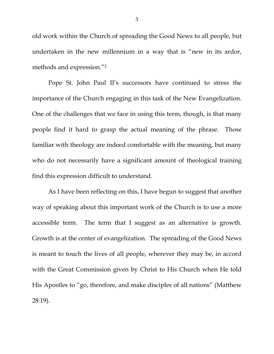old work within the Church of spreading the Good News to all people, but undertaken in the new millennium in a way that is "new in its ardor, methods and expression."2

 Pope St. John Paul II's successors have continued to stress the importance of the Church engaging in this task of the New Evangelization. One of the challenges that we face in using this term, though, is that many people find it hard to grasp the actual meaning of the phrase. Those familiar with theology are indeed comfortable with the meaning, but many who do not necessarily have a significant amount of theological training find this expression difficult to understand.

 As I have been reflecting on this, I have begun to suggest that another way of speaking about this important work of the Church is to use a more accessible term. The term that I suggest as an alternative is growth. Growth is at the center of evangelization. The spreading of the Good News is meant to touch the lives of all people, wherever they may be, in accord with the Great Commission given by Christ to His Church when He told His Apostles to "go, therefore, and make disciples of all nations" (Matthew 28:19).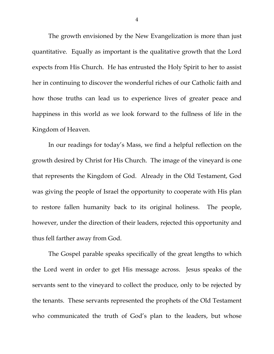The growth envisioned by the New Evangelization is more than just quantitative. Equally as important is the qualitative growth that the Lord expects from His Church. He has entrusted the Holy Spirit to her to assist her in continuing to discover the wonderful riches of our Catholic faith and how those truths can lead us to experience lives of greater peace and happiness in this world as we look forward to the fullness of life in the Kingdom of Heaven.

 In our readings for today's Mass, we find a helpful reflection on the growth desired by Christ for His Church. The image of the vineyard is one that represents the Kingdom of God. Already in the Old Testament, God was giving the people of Israel the opportunity to cooperate with His plan to restore fallen humanity back to its original holiness. The people, however, under the direction of their leaders, rejected this opportunity and thus fell farther away from God.

 The Gospel parable speaks specifically of the great lengths to which the Lord went in order to get His message across. Jesus speaks of the servants sent to the vineyard to collect the produce, only to be rejected by the tenants. These servants represented the prophets of the Old Testament who communicated the truth of God's plan to the leaders, but whose

4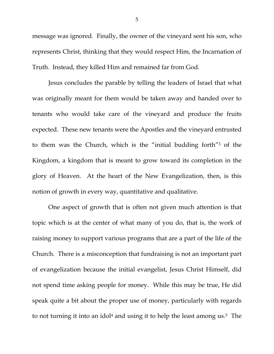message was ignored. Finally, the owner of the vineyard sent his son, who represents Christ, thinking that they would respect Him, the Incarnation of Truth. Instead, they killed Him and remained far from God.

 Jesus concludes the parable by telling the leaders of Israel that what was originally meant for them would be taken away and handed over to tenants who would take care of the vineyard and produce the fruits expected. These new tenants were the Apostles and the vineyard entrusted to them was the Church, which is the "initial budding forth"3 of the Kingdom, a kingdom that is meant to grow toward its completion in the glory of Heaven. At the heart of the New Evangelization, then, is this notion of growth in every way, quantitative and qualitative.

 One aspect of growth that is often not given much attention is that topic which is at the center of what many of you do, that is, the work of raising money to support various programs that are a part of the life of the Church. There is a misconception that fundraising is not an important part of evangelization because the initial evangelist, Jesus Christ Himself, did not spend time asking people for money. While this may be true, He did speak quite a bit about the proper use of money, particularly with regards to not turning it into an idol<sup>4</sup> and using it to help the least among us.<sup>5</sup> The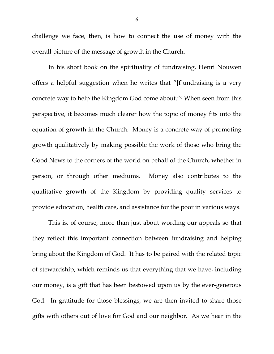challenge we face, then, is how to connect the use of money with the overall picture of the message of growth in the Church.

 In his short book on the spirituality of fundraising, Henri Nouwen offers a helpful suggestion when he writes that "[f]undraising is a very concrete way to help the Kingdom God come about."6 When seen from this perspective, it becomes much clearer how the topic of money fits into the equation of growth in the Church. Money is a concrete way of promoting growth qualitatively by making possible the work of those who bring the Good News to the corners of the world on behalf of the Church, whether in person, or through other mediums. Money also contributes to the qualitative growth of the Kingdom by providing quality services to provide education, health care, and assistance for the poor in various ways.

This is, of course, more than just about wording our appeals so that they reflect this important connection between fundraising and helping bring about the Kingdom of God. It has to be paired with the related topic of stewardship, which reminds us that everything that we have, including our money, is a gift that has been bestowed upon us by the ever-generous God. In gratitude for those blessings, we are then invited to share those gifts with others out of love for God and our neighbor. As we hear in the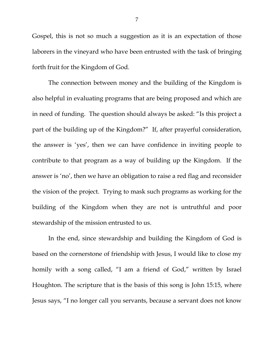Gospel, this is not so much a suggestion as it is an expectation of those laborers in the vineyard who have been entrusted with the task of bringing forth fruit for the Kingdom of God.

 The connection between money and the building of the Kingdom is also helpful in evaluating programs that are being proposed and which are in need of funding. The question should always be asked: "Is this project a part of the building up of the Kingdom?" If, after prayerful consideration, the answer is 'yes', then we can have confidence in inviting people to contribute to that program as a way of building up the Kingdom. If the answer is 'no', then we have an obligation to raise a red flag and reconsider the vision of the project. Trying to mask such programs as working for the building of the Kingdom when they are not is untruthful and poor stewardship of the mission entrusted to us.

In the end, since stewardship and building the Kingdom of God is based on the cornerstone of friendship with Jesus, I would like to close my homily with a song called, "I am a friend of God," written by Israel Houghton. The scripture that is the basis of this song is John 15:15, where Jesus says, "I no longer call you servants, because a servant does not know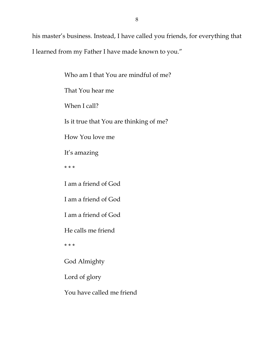his master's business. Instead, I have called you friends, for everything that I learned from my Father I have made known to you."

> Who am I that You are mindful of me? That You hear me When I call? Is it true that You are thinking of me? How You love me It's amazing \* \* \* I am a friend of God I am a friend of God I am a friend of God He calls me friend \* \* \* God Almighty Lord of glory

You have called me friend